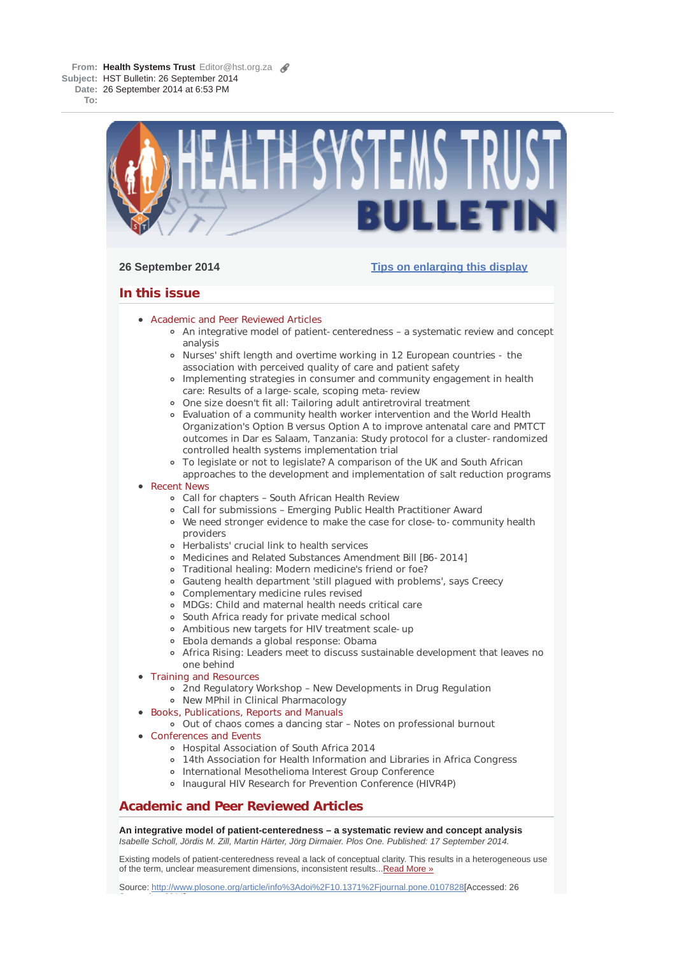**From: Health Systems Trust** Editor@hst.org.za **Subject:** HST Bulletin: 26 September 2014 **Date:** 26 September 2014 at 6:53 PM

**To:**



# **26 September 2014 Tips on enlarging this display**

# **In this issue**

- **Academic and Peer Reviewed Articles** 
	- An integrative model of patient-centeredness a systematic review and concept analysis
	- Nurses' shift length and overtime working in 12 European countries the association with perceived quality of care and patient safety
	- Implementing strategies in consumer and community engagement in health care: Results of a large-scale, scoping meta-review
	- One size doesn't fit all: Tailoring adult antiretroviral treatment
	- Evaluation of a community health worker intervention and the World Health Organization's Option B versus Option A to improve antenatal care and PMTCT outcomes in Dar es Salaam, Tanzania: Study protocol for a cluster-randomized controlled health systems implementation trial
	- To legislate or not to legislate? A comparison of the UK and South African approaches to the development and implementation of salt reduction programs

# • Recent News

- Call for chapters South African Health Review
- Call for submissions Emerging Public Health Practitioner Award
- We need stronger evidence to make the case for close-to-community health providers
- Herbalists' crucial link to health services
- Medicines and Related Substances Amendment Bill [B6-2014]
- Traditional healing: Modern medicine's friend or foe?
- Gauteng health department 'still plagued with problems', says Creecy
- Complementary medicine rules revised
- MDGs: Child and maternal health needs critical care
- South Africa ready for private medical school
- Ambitious new targets for HIV treatment scale-up
- Ebola demands a global response: Obama
- Africa Rising: Leaders meet to discuss sustainable development that leaves no one behind
- Training and Resources
	- 2nd Regulatory Workshop New Developments in Drug Regulation
	- New MPhil in Clinical Pharmacology
- Books, Publications, Reports and Manuals
	- Out of chaos comes a dancing star Notes on professional burnout
- Conferences and Events

S t b 2014]

- Hospital Association of South Africa 2014
- 14th Association for Health Information and Libraries in Africa Congress
- o International Mesothelioma Interest Group Conference
- Inaugural HIV Research for Prevention Conference (HIVR4P)

# **Academic and Peer Reviewed Articles**

**An integrative model of patient-centeredness – a systematic review and concept analysis** *Isabelle Scholl, Jördis M. Zill, Martin Härter, Jörg Dirmaier. Plos One. Published: 17 September 2014.*

Existing models of patient-centeredness reveal a lack of conceptual clarity. This results in a heterogeneous use of the term, unclear measurement dimensions, inconsistent results...Read More »

Source: http://www.plosone.org/article/info%3Adoi%2F10.1371%2Fjournal.pone.0107828[Accessed: 26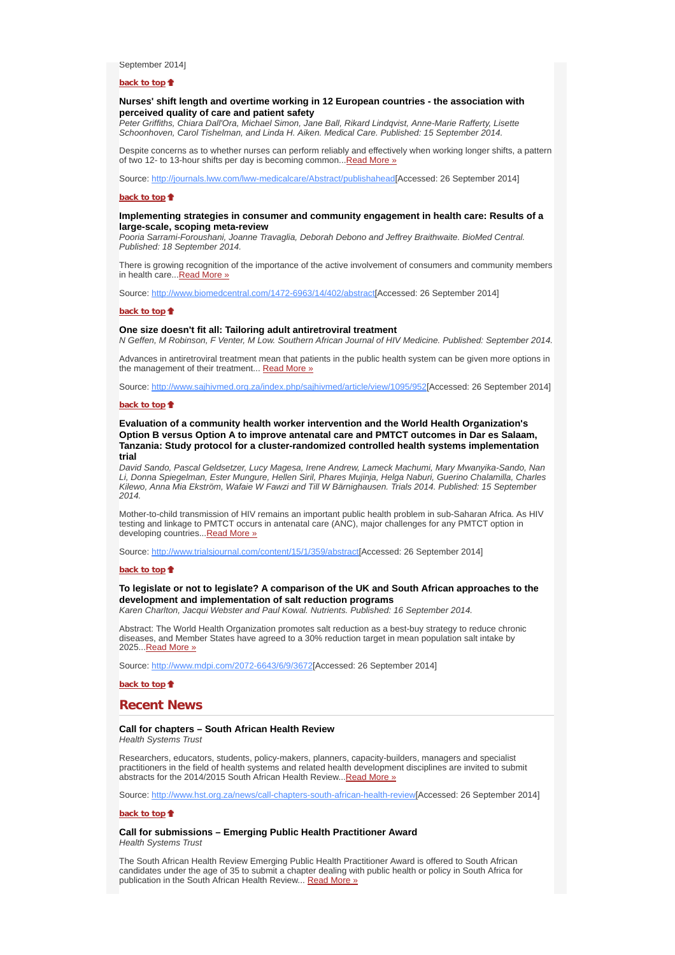September 2014]

#### **back to top**

## **Nurses' shift length and overtime working in 12 European countries - the association with perceived quality of care and patient safety**

*Peter Griffiths, Chiara Dall'Ora, Michael Simon, Jane Ball, Rikard Lindqvist, Anne-Marie Rafferty, Lisette Schoonhoven, Carol Tishelman, and Linda H. Aiken. Medical Care. Published: 15 September 2014.*

Despite concerns as to whether nurses can perform reliably and effectively when working longer shifts, a pattern of two 12- to 13-hour shifts per day is becoming common... Read More »

Source: http://journals.lww.com/lww-medicalcare/Abstract/publishahead[Accessed: 26 September 2014]

#### **back to top**

# **Implementing strategies in consumer and community engagement in health care: Results of a large-scale, scoping meta-review**

*Pooria Sarrami-Foroushani, Joanne Travaglia, Deborah Debono and Jeffrey Braithwaite. BioMed Central. Published: 18 September 2014.*

There is growing recognition of the importance of the active involvement of consumers and community members in health care... Read More »

Source: http://www.biomedcentral.com/1472-6963/14/402/abstract[Accessed: 26 September 2014]

#### **back to top**

#### **One size doesn't fit all: Tailoring adult antiretroviral treatment**

*N Geffen, M Robinson, F Venter, M Low. Southern African Journal of HIV Medicine. Published: September 2014.*

Advances in antiretroviral treatment mean that patients in the public health system can be given more options in the management of their treatment... Read More »

Source: http://www.sajhivmed.org.za/index.php/sajhivmed/article/view/1095/952[Accessed: 26 September 2014]

#### **back to top**

### **Evaluation of a community health worker intervention and the World Health Organization's Option B versus Option A to improve antenatal care and PMTCT outcomes in Dar es Salaam, Tanzania: Study protocol for a cluster-randomized controlled health systems implementation trial**

*David Sando, Pascal Geldsetzer, Lucy Magesa, Irene Andrew, Lameck Machumi, Mary Mwanyika-Sando, Nan Li, Donna Spiegelman, Ester Mungure, Hellen Siril, Phares Mujinja, Helga Naburi, Guerino Chalamilla, Charles Kilewo, Anna Mia Ekström, Wafaie W Fawzi and Till W Bärnighausen. Trials 2014. Published: 15 September 2014.*

Mother-to-child transmission of HIV remains an important public health problem in sub-Saharan Africa. As HIV testing and linkage to PMTCT occurs in antenatal care (ANC), major challenges for any PMTCT option in developing countries... Read More »

Source: http://www.trialsjournal.com/content/15/1/359/abstract[Accessed: 26 September 2014]

# **back to top**

# **To legislate or not to legislate? A comparison of the UK and South African approaches to the development and implementation of salt reduction programs**

*Karen Charlton, Jacqui Webster and Paul Kowal. Nutrients. Published: 16 September 2014.*

Abstract: The World Health Organization promotes salt reduction as a best-buy strategy to reduce chronic diseases, and Member States have agreed to a 30% reduction target in mean population salt intake by 2025...Read More »

Source: http://www.mdpi.com/2072-6643/6/9/3672[Accessed: 26 September 2014]

**back to top**

#### **Recent News**

# **Call for chapters – South African Health Review**

*Health Systems Trust*

Researchers, educators, students, policy-makers, planners, capacity-builders, managers and specialist practitioners in the field of health systems and related health development disciplines are invited to submit abstracts for the 2014/2015 South African Health Review...Read More »

Source: http://www.hst.org.za/news/call-chapters-south-african-health-review[Accessed: 26 September 2014]

#### **back to top**

## **Call for submissions – Emerging Public Health Practitioner Award**

*Health Systems Trust*

The South African Health Review Emerging Public Health Practitioner Award is offered to South African candidates under the age of 35 to submit a chapter dealing with public health or policy in South Africa for publication in the South African Health Review... Read More »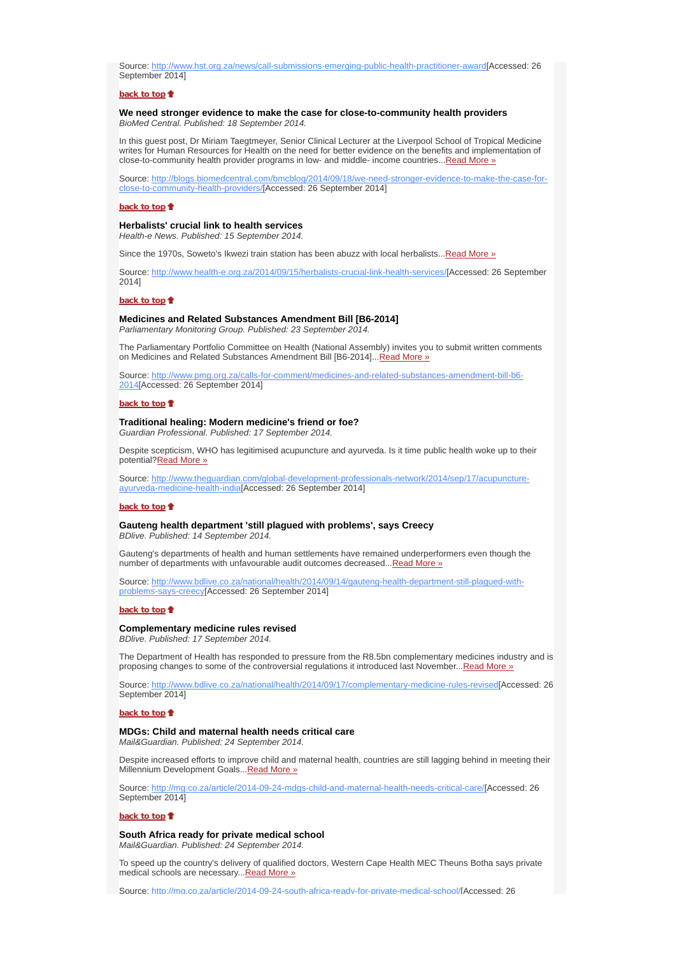Source: http://www.hst.org.za/news/call-submissions-emerging-public-health-practitioner-award[Accessed: 26 September 2014]

# **back to top**

#### **We need stronger evidence to make the case for close-to-community health providers** *BioMed Central. Published: 18 September 2014.*

In this guest post, Dr Miriam Taegtmeyer, Senior Clinical Lecturer at the Liverpool School of Tropical Medicine writes for Human Resources for Health on the need for better evidence on the benefits and implementation of close-to-community health provider programs in low- and middle- income countries... Read More »

Source: http://blogs.biomedcentral.com/bmcblog/2014/09/18/we-need-stronger-evidence-to-make-the-case-forclose-to-community-health-providers/[Accessed: 26 September 2014]

#### **back to top**

# **Herbalists' crucial link to health services**

*Health-e News. Published: 15 September 2014.*

Since the 1970s, Soweto's Ikwezi train station has been abuzz with local herbalists...Read More »

Source: http://www.health-e.org.za/2014/09/15/herbalists-crucial-link-health-services/[Accessed: 26 September 2014]

#### **back to top**

### **Medicines and Related Substances Amendment Bill [B6-2014]** *Parliamentary Monitoring Group. Published: 23 September 2014.*

The Parliamentary Portfolio Committee on Health (National Assembly) invites you to submit written comments on Medicines and Related Substances Amendment Bill [B6-2014]... Read More »

Source: http://www.pmg.org.za/calls-for-comment/medicines-and-related-substances-amendment-bill-b6- 2014[Accessed: 26 September 2014]

#### **back to top**

# **Traditional healing: Modern medicine's friend or foe?**

*Guardian Professional. Published: 17 September 2014.*

Despite scepticism, WHO has legitimised acupuncture and ayurveda. Is it time public health woke up to their potential?Read More »

Source: http://www.theguardian.com/global-development-professionals-network/2014/sep/17/acupunctureayurveda-medicine-health-india[Accessed: 26 September 2014]

# **back to top**

# **Gauteng health department 'still plagued with problems', says Creecy**

*BDlive. Published: 14 September 2014.*

Gauteng's departments of health and human settlements have remained underperformers even though the number of departments with unfavourable audit outcomes decreased...Read More »

Source: http://www.bdlive.co.za/national/health/2014/09/14/gauteng-health-department-still-plagued-withproblems-says-creecy[Accessed: 26 September 2014]

#### **back to top**

#### **Complementary medicine rules revised**

*BDlive. Published: 17 September 2014.*

The Department of Health has responded to pressure from the R8.5bn complementary medicines industry and is proposing changes to some of the controversial regulations it introduced last November...Read More »

Source: http://www.bdlive.co.za/national/health/2014/09/17/complementary-medicine-rules-revised[Accessed: 26 September 2014]

# **back to top**

#### **MDGs: Child and maternal health needs critical care**

*Mail&Guardian. Published: 24 September 2014.*

Despite increased efforts to improve child and maternal health, countries are still lagging behind in meeting their Millennium Development Goals... Read More »

Source: http://mg.co.za/article/2014-09-24-mdgs-child-and-maternal-health-needs-critical-care/[Accessed: 26 September 2014]

#### **back to top**

**South Africa ready for private medical school** *Mail&Guardian. Published: 24 September 2014.*

To speed up the country's delivery of qualified doctors, Western Cape Health MEC Theuns Botha says private medical schools are necessary... Read More »

Source: http://mg.co.za/article/2014-09-24-south-africa-ready-for-private-medical-school/[Accessed: 26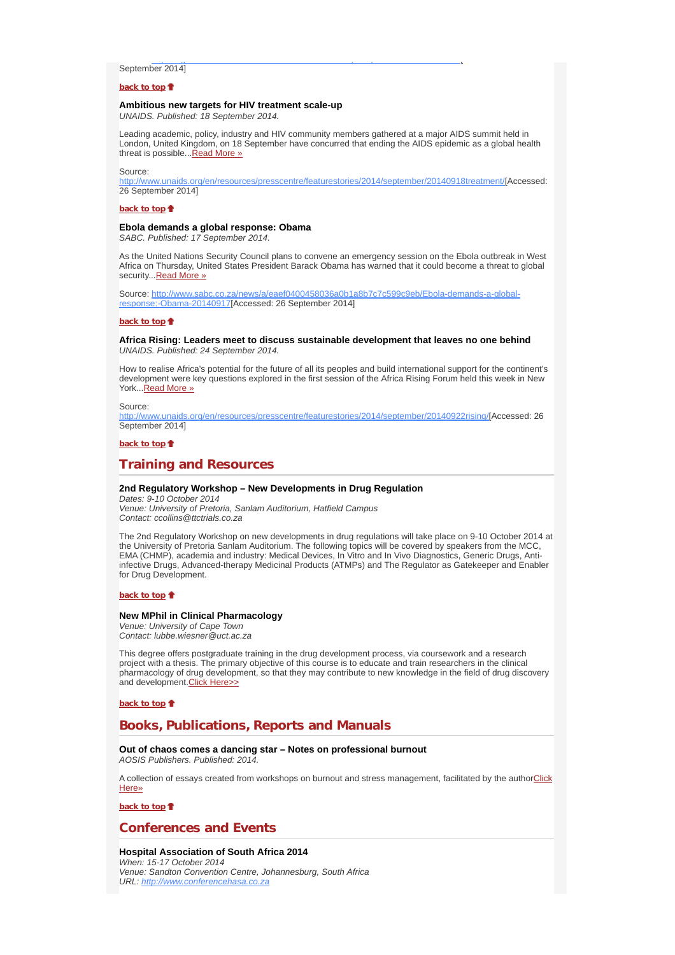# September 2014]

#### **back to top**

# **Ambitious new targets for HIV treatment scale-up**

*UNAIDS. Published: 18 September 2014.*

Leading academic, policy, industry and HIV community members gathered at a major AIDS summit held in London, United Kingdom, on 18 September have concurred that ending the AIDS epidemic as a global health threat is possible...Read More »

pg y participation and the participation of the participation of the participation of the participation of the

Source:

http://www.unaids.org/en/resources/presscentre/featurestories/2014/september/20140918treatment/[Accessed: 26 September 2014]

#### **back to top**

## **Ebola demands a global response: Obama**

*SABC. Published: 17 September 2014.*

As the United Nations Security Council plans to convene an emergency session on the Ebola outbreak in West Africa on Thursday, United States President Barack Obama has warned that it could become a threat to global security... Read More »

Source: http://www.sabc.co.za/news/a/eaef0400458036a0b1a8b7c7c599c9eb/Ebola-demands-a-globalresponse:-Obama-20140917[Accessed: 26 September 2014]

#### **back to top**

**Africa Rising: Leaders meet to discuss sustainable development that leaves no one behind** *UNAIDS. Published: 24 September 2014.*

How to realise Africa's potential for the future of all its peoples and build international support for the continent's development were key questions explored in the first session of the Africa Rising Forum held this week in New York...Read More »

#### Source:

http://www.unaids.org/en/resources/presscentre/featurestories/2014/september/20140922rising/[Accessed: 26 September 2014]

#### **back to top**

# **Training and Resources**

#### **2nd Regulatory Workshop – New Developments in Drug Regulation**

*Dates: 9-10 October 2014 Venue: University of Pretoria, Sanlam Auditorium, Hatfield Campus Contact: ccollins@ttctrials.co.za*

The 2nd Regulatory Workshop on new developments in drug regulations will take place on 9-10 October 2014 at the University of Pretoria Sanlam Auditorium. The following topics will be covered by speakers from the MCC, EMA (CHMP), academia and industry: Medical Devices, In Vitro and In Vivo Diagnostics, Generic Drugs, Antiinfective Drugs, Advanced-therapy Medicinal Products (ATMPs) and The Regulator as Gatekeeper and Enabler for Drug Development.

#### **back to top**

#### **New MPhil in Clinical Pharmacology**

*Venue: University of Cape Town Contact: lubbe.wiesner@uct.ac.za*

This degree offers postgraduate training in the drug development process, via coursework and a research project with a thesis. The primary objective of this course is to educate and train researchers in the clinical pharmacology of drug development, so that they may contribute to new knowledge in the field of drug discovery and development. Click Here>>

**back to top**

# **Books, Publications, Reports and Manuals**

# **Out of chaos comes a dancing star – Notes on professional burnout**

*AOSIS Publishers. Published: 2014.*

A collection of essays created from workshops on burnout and stress management, facilitated by the authorClick Here»

**back to top**

# **Conferences and Events**

#### **Hospital Association of South Africa 2014**

*When: 15-17 October 2014 Venue: Sandton Convention Centre, Johannesburg, South Africa URL: http://www.conferencehasa.co.za*